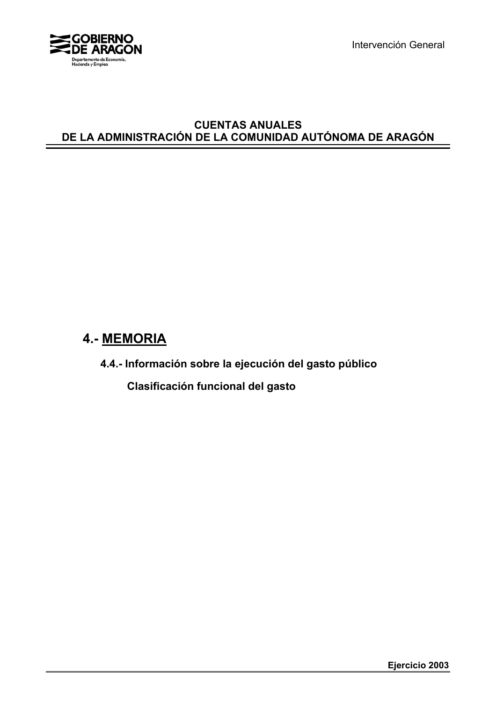

Intervención General

## **CUENTAS ANUALES DE LA ADMINISTRACIÓN DE LA COMUNIDAD AUTÓNOMA DE ARAGÓN**

# **4.- MEMORIA**

**4.4.- Información sobre la ejecución del gasto público**

 **Clasificación funcional del gasto**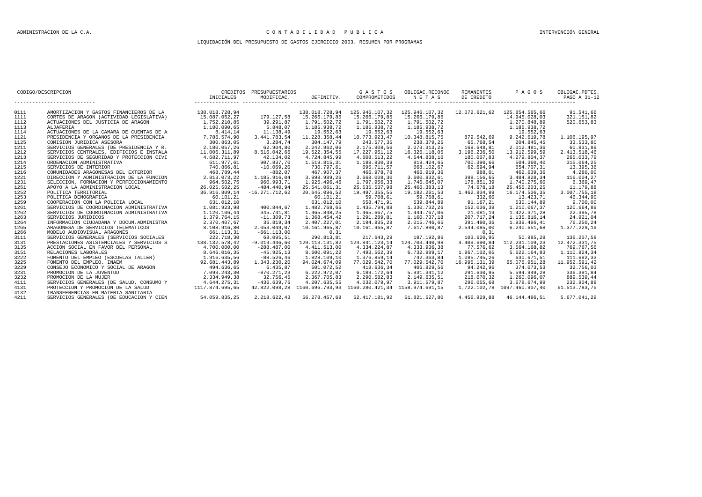#### ADMINISTRACION DE LA C.A. C O N T A B I L I D A D P U B L I C A INTERVENCIÓN GENERAL

#### LIQUIDACIÓN DEL PRESUPUESTO DE GASTOS EJERCICIO 2003. RESUMEN POR PROGRAMAS

| CODIGO/DESCRIPCION |                                                                                                                                                                                                                                          | CREDITOS PRESUPUESTARIOS |                       |                         |                                                               | G A S T O S OBLIGAC.RECONOC                                              | REMANENTES    | PAGOS                                                         | OBLIGAC.PDTES. |
|--------------------|------------------------------------------------------------------------------------------------------------------------------------------------------------------------------------------------------------------------------------------|--------------------------|-----------------------|-------------------------|---------------------------------------------------------------|--------------------------------------------------------------------------|---------------|---------------------------------------------------------------|----------------|
|                    |                                                                                                                                                                                                                                          |                          |                       |                         |                                                               | INICIALES MODIFICAC. DEFINITIV. COMPROMETIDOS NETAS DE CREDITO PAGO PAGO |               |                                                               | PAGO A 31-12   |
| 0111               | AMORTIZACION Y GASTOS FINANCIEROS DE LA 138.018.728,94                                                                                                                                                                                   |                          |                       |                         | 138.018.728.94   125.946.107.32   125.946.107.32              |                                                                          |               | 12.072.621,62  125.854.565,66                                 | 91.541,66      |
| 1111               | CORTES DE ARAGON (ACTIVIDAD LEGISLATIVA)                                                                                                                                                                                                 | 15,087,052,27            |                       |                         | 179.127,58  15.266.179,85  15.266.179,85  15.266.179,85       |                                                                          |               | 14.945.028.03                                                 | 321.151.82     |
| 1112               | ACTUACIONES DEL JUSTICIA DE ARAGON                                                                                                                                                                                                       | 1.752.210,85             | 39.291,87             | 1.791.502,72            | 1.791.502,72                                                  | 1.791.502,72                                                             |               | 1.270.848,89                                                  | 520.653.83     |
| 1113               |                                                                                                                                                                                                                                          |                          |                       | 1.185.938,72            | 1.185.938,72                                                  | 1.185.938,72                                                             |               |                                                               |                |
| 1114               |                                                                                                                                                                                                                                          |                          | 5.848,07<br>11.138,49 | 19.552,63               | 19.552,63                                                     | 19.552,63                                                                |               | $1.185.938, 72$<br>$19.552, 63$<br>879.542,69<br>9.242.619,78 |                |
| 1121               |                                                                                                                                                                                                                                          |                          | 3.441.783,54          | 11.228.358,44           |                                                               | 10.773.923,47   10.348.815,75                                            |               |                                                               | 1.106.195,97   |
| 1125               |                                                                                                                                                                                                                                          |                          | 3.284.74              | 304.147.79              | 243.577.35                                                    | 238.379.25                                                               | 65.768.54     | 204.845.45                                                    | 33.533.80      |
| 1211               |                                                                                                                                                                                                                                          |                          | 62.904,80             | 2.242.962,06            | 2.175.908,56                                                  | 2.073.313,25                                                             | 169.648.81    | 2.012.481,36                                                  | 60.831.89      |
| 1212               |                                                                                                                                                                                                                                          |                          | 8.516.042,66          | 19.522.354,55           | 17.227.951,12                                                 | 16.326.118,05                                                            | 3.196.236,50  | 13.912.599,59                                                 | 2.413.518,46   |
| 1213               |                                                                                                                                                                                                                                          |                          | 42.134,02             | 4.724.845,99            | 4.608.513,22                                                  | 4.544.838,16                                                             | 180.007,83    | 4.279.804,37                                                  | 265.033,79     |
| 1214               |                                                                                                                                                                                                                                          |                          | 907.837,70            | 1.519.815,31            | 1.188.830,39                                                  | 819.424,65                                                               | 700.390,66    | 504.360,40                                                    | 315.064,25     |
| 1215               |                                                                                                                                                                                                                                          |                          | $-10.069, 20$         | 730.797,61              | 695.711,57                                                    | 668.102,67                                                               | 62.694,94     | 654.707,31                                                    | 13.395,36      |
| 1216               |                                                                                                                                                                                                                                          |                          | $-882,07$             | 467.907.37              | 466.978,78                                                    | 466.919,36                                                               | 988,01        | 462.639,36                                                    | 4.280.00       |
| 1221               |                                                                                                                                                                                                                                          |                          | 1.185.916,04          | 3.998.989.26            | 3.668.008,30                                                  | 3.600.832,61                                                             | 398.156.65    | 3.484.828.34                                                  | 116.004.27     |
| 1231               |                                                                                                                                                                                                                                          |                          | 960.993,71            | 1.925.496,46            | 1.797.956,33                                                  | 1.746.645,07                                                             | 178.851,39    | 1.740.275,60                                                  | 6.369,47       |
| 1251               |                                                                                                                                                                                                                                          |                          | $-484.440,94$         | 25.541.061,31           | 25.535.537,98                                                 | 25.466.383,13                                                            | 74.678,18     | 25.455.203,25                                                 | 11.179,88      |
| 1252               |                                                                                                                                                                                                                                          |                          | $-16.271.712.62$      | 20.645.096,52           | 19.497.355,55                                                 | 19.182.261,53                                                            | 1.462.834,99  | 16.174.506,35                                                 | 3.007.755,18   |
| 1253               |                                                                                                                                                                                                                                          |                          |                       | 60.101,21               | 59.768,61                                                     | 59.768,61                                                                | 332,60        | 13.423,71                                                     | 46.344,90      |
| 1259               |                                                                                                                                                                                                                                          |                          |                       | 631.012,10              | 558.471,91                                                    | 539.844,89                                                               | 91.167.21     | 530.144.89                                                    | 9.700,00       |
| 1261               |                                                                                                                                                                                                                                          |                          |                       | 400.844,67 1.482.768,65 | 1.435.794,88                                                  | 1.330.732.26                                                             |               | 152.036,39 1.210.067,37                                       | 120.664,89     |
| 1262               | SERVICIOS DE COORDINACION ADMINISTRATIVA 1.120.106,44                                                                                                                                                                                    |                          | 345.741.81            | 1.465.848.25            | 1.465.667.75                                                  | 1.444.767.06                                                             | 21.081.19     | 1.422.371.28                                                  | 22.395.78      |
| 1263               |                                                                                                                                                                                                                                          |                          | $-11.309.73$          | 1.368.454,42            | 1.291.289,81                                                  | 1.160.737,18                                                             | 207.717.24    | 1.135.816,14                                                  | 24.921,04      |
| 1264               |                                                                                                                                                                                                                                          |                          | 36.819,34             | 2.407.227,01            | 2.194.835,28                                                  | 2.015.746,65                                                             | 391.480,36    | 1.939.496.41                                                  | 76.250,24      |
| 1265               |                                                                                                                                                                                                                                          |                          | 2.053.049,07          | 10.161.965,87           | 10.161.965,87                                                 | 7.617.880,87                                                             | 2.544.085,00  | 6.240.651,68                                                  | 1.377.229,19   |
| 1266               |                                                                                                                                                                                                                                          |                          | $-661.113,00$         | 0, 31                   |                                                               |                                                                          | 0, 31         |                                                               |                |
| 3111               |                                                                                                                                                                                                                                          |                          | 68.095,51             | 290.813,81              | 217.643,29                                                    | 187.192,86                                                               | 103.620,95    | 50.985,28                                                     | 136.207,58     |
| 3131               |                                                                                                                                                                                                                                          |                          | $-9.019.446,60$       |                         | 129.113.131,82  124.841.123,14  124.703.440,98                |                                                                          |               | 4.409.690,84 112.231.109,23                                   | 12.472.331.75  |
| 3135               |                                                                                                                                                                                                                                          |                          | $-288.487.00$         | 4.411.513,00            | 4.334.224,87                                                  | 4.333.936,38                                                             | 77.576.62     | 3.564.168.82                                                  | 769.767.56     |
| 3151               |                                                                                                                                                                                                                                          |                          | $-45.925, 13$         | 8.600.091,22            | 7.493.562,39                                                  | 6.732.989,17                                                             | 1.867.102,05  | 5.622.164,83                                                  | 1.110.824,34   |
| 3222               |                                                                                                                                                                                                                                          |                          | $-88.526, 46$         | 1.828.109.10            | 1.376.859.14                                                  | 742.363,84                                                               | 1.085.745.26  | 630.671.51                                                    | 111.692.33     |
| 3225               |                                                                                                                                                                                                                                          |                          | 1.343.230,20          | 94.024.674,09           | 77.029.542,70                                                 | 77.029.542,70                                                            | 16.995.131,39 | 65.076.951,28                                                 | 11.952.591,42  |
| 3229               | ACCION SOCIAL EN FAVOR DEL ERSONAL (1990) 1000,000<br>RELACIONES LABORALES (1990) 1000,000<br>RELACIONES LABORALES (1990) 1000,000<br>TOMENTO DEL EMPLEO (ESCUELAS TALLER) 1994.6635,56<br>FOMENTO DEL EMPLEO . INAEM<br>2008EJO ECONOMI |                          | 6.435.87              | 501.072,52              | 418.636,34                                                    | 406.829,56                                                               | 94.242,96     | 374.073.53                                                    | 32.756.03      |
| 3231               |                                                                                                                                                                                                                                          |                          | $-870.271,23$         | 6.222.972,07            | 6.189.172,64                                                  | 5.931.341,12                                                             | 291.630,95    | 5.594.949.28                                                  | 336.391,84     |
| 3232               |                                                                                                                                                                                                                                          |                          | 32.756,45             | 2.367.705,83            | 2.290.582,83                                                  | 2.149.635,51                                                             | 218.070,32    | 1.260.096,07                                                  | 889.539,44     |
| 4111               | SERVICIOS GENERALES (DE SALUD, CONSUMO Y 4.644.275, 31                                                                                                                                                                                   |                          | $-436.639.76$         | 4.207.635.55            | 4.032.079.97                                                  | 3.911.579.87                                                             | 296.055.68    | 3.678.674.99                                                  | 232.904.88     |
| 4131               | PROTECCION Y PROMOCION DE LA SALUD                                                                                                                                                                                                       | 1117.874.695,65          |                       |                         | 42.822.098,28 1160.696.793,93 1160.280.421,34 1158.974.691,15 |                                                                          |               | 1.722.102.78 1097.460.907.40                                  | 61.513.783,75  |
| 4132               | TRANSFERENCIAS EN MATERIA SANITARIA                                                                                                                                                                                                      |                          |                       |                         |                                                               |                                                                          |               |                                                               |                |
| 4211               | SERVICIOS GENERALES (DE EDUCACION Y CIEN                                                                                                                                                                                                 | 54.059.835,25            |                       |                         | 2.218.622.43  56.278.457.68  52.417.181.92  51.821.527.80     |                                                                          |               | 4.456.929,88 46.144.486,51                                    | 5.677.041,29   |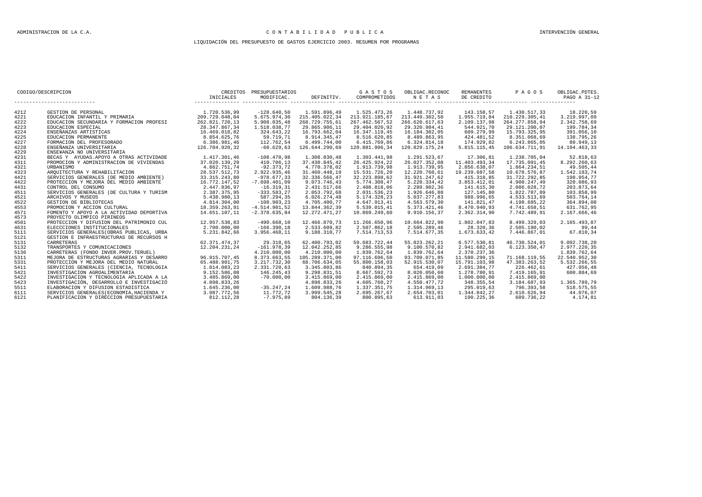#### ADMINISTRACION DE LA C.A. C O N T A B I L I D A D P U B L I C A INTERVENCIÓN GENERAL

#### LIQUIDACIÓN DEL PRESUPUESTO DE GASTOS EJERCICIO 2003. RESUMEN POR PROGRAMAS

| CODIGO/DESCRIPCION |                                                                                                                                                            | CREDITOS PRESUPUESTARIOS                                                                                                                                                            |                 |                | G A S T O S OBLIGAC.RECONOC   | PAGOS                                                                    | OBLIGAC.PDTES. |                |               |
|--------------------|------------------------------------------------------------------------------------------------------------------------------------------------------------|-------------------------------------------------------------------------------------------------------------------------------------------------------------------------------------|-----------------|----------------|-------------------------------|--------------------------------------------------------------------------|----------------|----------------|---------------|
|                    | ----------------------------                                                                                                                               |                                                                                                                                                                                     |                 |                |                               | INICIALES MODIFICAC. DEFINITIV. COMPROMETIDOS NETAS DE CREDITO PAGO PAGO |                |                | PAGO A 31-12  |
| 4212               | GESTION DE PERSONAL                                                                                                                                        | 1.720.536,99                                                                                                                                                                        | $-128.640,50$   | 1.591.896,49   | 1.525.473,26                  | 1.448.737,92                                                             | 143.158,57     | 1.430.517,33   | 18.220,59     |
| 4221               | EDUCACION INFANTIL Y PRIMARIA                                                                                                                              | 209.729.048.04                                                                                                                                                                      | 5.675.974.30    | 215.405.022.34 | 213.921.185.67 213.449.302.50 |                                                                          | 1.955.719.84   | 210.229.305.41 | 3.219.997.09  |
| 4222               | EDUCACION SECUNDARIA Y FORMACION PROFESI                                                                                                                   | 262.821.720,13                                                                                                                                                                      | 5.908.035,48    | 268.729.755,61 | 267.462.567,52                | 266.620.617,63                                                           | 2.109.137,98   | 264.277.858,94 | 2.342.758,69  |
| 4223               | EDUCACION ESPECIAL                                                                                                                                         | 28.347.867,34                                                                                                                                                                       | 1.518.038,77    | 29.865.906,11  | 29.404.020,92                 | 29.320.984,41                                                            | 544.921,70     | 29.121.200,07  | 199.784,34    |
| 4224               |                                                                                                                                                            |                                                                                                                                                                                     | 324.643,22      | 16.793.662,04  | 16.347.119,45                 | 16.184.382,05                                                            | 609.279,99     | 15.793.325,95  | 391.056,10    |
| 4225               |                                                                                                                                                            |                                                                                                                                                                                     | 59.719,71       | 8.914.345.47   | 8.516.620,85                  | 8.489.863,95                                                             | 424.481,52     | 8.351.068,69   | 138.795,26    |
| 4227               |                                                                                                                                                            |                                                                                                                                                                                     | 112.762.54      | 6.499.744.00   | 6.415.769.86                  | 6.324.814.18                                                             | 174.929.82     | 6.243.865.05   | 80.949.13     |
| 4228               | ENSEÑANZA UNIVERSITARIA                                                                                                                                    | 126.704.920,32                                                                                                                                                                      | $-60.629,63$    | 126.644.290.69 | 120.881.996.34                | 120.829.175.24                                                           | 5.815.115,45   | 106.634.711.91 | 14.194.463.33 |
| 4229               | ENSE¥ANZA NO UNIVERSITARIA                                                                                                                                 |                                                                                                                                                                                     |                 |                |                               |                                                                          |                |                |               |
| 4231               | BECAS Y AYUDAS. APOYO A OTRAS ACTIVIDADE                                                                                                                   | 1.417.301,46                                                                                                                                                                        | $-108.470,98$   | 1.308.830,48   | 1.303.441,98                  | 1.291.523,67                                                             | 17.306,81      | 1.238.705,04   | 52.818,63     |
| 4311               | PROMOCION Y ADMINISTRACION DE VIVIENDAS                                                                                                                    |                                                                                                                                                                                     | 410.706,13      | 37.430.845,42  | 26.425.924,22                 | 26.027.352,08                                                            | 11.403.493,34  | 17.735.091.45  | 8.292.260,63  |
| 4321               | URBANISMO                                                                                                                                                  |                                                                                                                                                                                     | $-92.373,72$    | 4.770.378,02   | 1.913.739,98                  | 1.913.739,95                                                             | 2.856.638,07   | 1.864.234,51   | 49.505,44     |
| 4323               | AROUITECTURA Y REHABILITACION                                                                                                                              |                                                                                                                                                                                     | 2.922.935,46    | 31.460.448,19  | 15.531.726,20                 | 12.220.760,61                                                            | 19.239.687,58  | 10.678.576,87  | 1.542.183,74  |
| 4421               | SERVICIOS GENERALES (DE MEDIO AMBIENTE)                                                                                                                    |                                                                                                                                                                                     | $-978.677.33$   | 32.336.566.47  | 32.223.898,62                 | 31.921.247,62                                                            | 415.318.85     | 31.722.292.85  | 198.954.77    |
| 4422               | PROTECCION Y MEJORA DEL MEDIO AMBIENTE                                                                                                                     |                                                                                                                                                                                     | $-7.698.401,09$ | 9.073.746,43   | 5.774.308,47                  | 5.220.334,42                                                             | 3.853.412,01   | 4.900.247,49   | 320.086,93    |
| 4431               | CONTROL DEL CONSUMO                                                                                                                                        | $\begin{array}{lll} 37.020.139\,, 29 \\ 4.862.751\,, 74 \\ 28.527.512\,, 74 \\ 23.537.512\,, 73 \\ 33.315.243\,, 80 \\ \text{NTE} & 16.772\,\,,\, 74.7 \end{array}$<br>2.447.836,97 | $-16.319.31$    | 2.431.517,66   | 2.408.818,06                  | 2.289.902,36                                                             | 141.615,30     | 2.086.028,72   | 203.873,64    |
| 4511               | SERVICIOS GENERALES (DE CULTURA Y TURISM                                                                                                                   | 2.387.375,95                                                                                                                                                                        | $-333.583, 27$  | 2.053.792,68   | 2.031.536,23                  | 1.926.646,88                                                             | 127.145,80     | 1.822.787,89   | 103.858,99    |
| 4521               | ARCHIVOS Y MUSEOS                                                                                                                                          |                                                                                                                                                                                     | 587.294,35      | 6.026.274,48   | 5.174.328,23                  | 5.037.277,83                                                             | 988.996,65     | 4.533.513,69   | 503.764,14    |
| 4522               | 5 . 438 . 980 , 13<br>4 . 814 . 304 , 00<br>18 . 359 . 263 , 91<br>GESTION DE BIBLIOTECAS                                                                  |                                                                                                                                                                                     | $-108.903.23$   | 4.705.400,77   | 4.647.913,41                  | 4.563.579,30                                                             | 141.821,47     | 4.198.685.22   | 364.894,08    |
| 4553               | PROMOCION Y ACCION CULTURAL                                                                                                                                | 18.359.263,91                                                                                                                                                                       | $-4.514.901,52$ | 13.844.362,39  | 5.539.015,41                  | 5.373.421,46                                                             | 8.470.940,93   | 4.741.658,51   | 631.762,95    |
| 4571               | FOMENTO Y APOYO A LA ACTIVIDAD DEPORTIVA                                                                                                                   | 14.651.107,11                                                                                                                                                                       | $-2.378.635.84$ | 12.272.471,27  | 10.869.249.60                 | 9.910.156.37                                                             | 2.362.314.90   | 7.742.489.91   | 2.167.666,46  |
| 4573               | PROYECTO OLIMPICO PIRINEOS                                                                                                                                 |                                                                                                                                                                                     |                 |                |                               |                                                                          |                |                |               |
| 4581               | PROTECCION Y DIFUSION DEL PATRIMONIO CUL                                                                                                                   | 12.957.538.83                                                                                                                                                                       | $-490.668.10$   | 12.466.870.73  | 11.266.650.96                 | 10.664.822.90                                                            | 1.802.047.83   | 8.499.329.03   | 2.165.493.87  |
| 4631               | ELECCCIONES INSTITUCIONALES                                                                                                                                | 2.700.000,00                                                                                                                                                                        | $-166.390, 18$  | 2.533.609,82   | 2.507.862,18                  | 2.505.289,46                                                             | 28.320,36      | 2.505.190,02   | 99,44         |
| 5111               | SERVICIOS GENERALES (OBRAS PUBLICAS, URBA                                                                                                                  | 5.231.842,66                                                                                                                                                                        | 3.956.468,11    | 9.188.310,77   | 7.514.713,53                  | 7.514.677,35                                                             | 1.673.633,42   | 7.446.867,01   | 67.810,34     |
| 5121               | GESTION E INFRAESTRUCTURAS DE RECURSOS H                                                                                                                   |                                                                                                                                                                                     |                 |                |                               |                                                                          |                |                |               |
| 5131               | CARRETERAS                                                                                                                                                 | 62.371.474,37                                                                                                                                                                       | 29.318,65       | 62.400.793,02  | 59.683.722,44                 | 55.823.262,21                                                            | 6.577.530.81   | 46.730.524.01  | 9.092.738,20  |
| 5132               | TRANSPORTES Y COMUNICACIONES                                                                                                                               | 12.204.231,24                                                                                                                                                                       | $-161.978,39$   | 12.042.252.85  | 9.286.555.98                  | 9.100.570.82                                                             | 2.941.682.03   | 6.123.350.47   | 2.977.220.35  |
| 5136               | CARRETERAS (FONDO INVER.PROV.TERUEL)                                                                                                                       |                                                                                                                                                                                     | 4.210.000,00    | 4.210.000,00   | 1.839.762,64                  | 1.839.762,64                                                             | 2.370.237,36   |                | 1.839.762,64  |
| 5311               | MEJORA DE ESTRUCTURAS AGRARIAS Y DESARRO                                                                                                                   | 96.915.707,45                                                                                                                                                                       | 8.373.663,55    | 105.289.371.00 | 97.116.696,50                 | 93.709.071,85                                                            | 11.580.299,15  | 71.168.119,55  | 22.540.952,30 |
| 5331               | PROTECCION Y MEJORA DEL MEDIO NATURAL                                                                                                                      | 65.488.901,75                                                                                                                                                                       | 3.217.732,30    | 68.706.634,05  | 55.800.158,03                 | 52.915.530,07                                                            | 15.791.103,98  | 47.383.263,52  | 5.532.266,55  |
| 5411               | SERVICIOS GENERALES (CIENCIA, TECNOLOGIA                                                                                                                   | 1.014.083,23                                                                                                                                                                        | 2.331.720,63    | 3.345.803,86   | 840.894,35                    | 654.419,09                                                               | 2.691.384,77   | 226.462,61     | 427.956,48    |
| 5421               | INVESTIGACION AGROALIMENTARIA                                                                                                                              | 9.152.586,08                                                                                                                                                                        | 146.245,43      | 9.298.831,51   | 8.667.592,73                  | 8.020.050,60                                                             | 1.278.780,91   | 7.419.165,91   | 600.884,69    |
| 5422               | INVESTIGACION Y TECNOLOGIA APLICADA A LA                                                                                                                   | 3.485.869,00                                                                                                                                                                        | $-70.000.00$    | 3.415.869,00   | 2.415.869,00                  | 2.415.869,00                                                             | 1.000.000,00   | 2.415.869.00   |               |
| 5423               | INVESTIGACIÓN, DESARROLLO E INVESTIGACIÓ                                                                                                                   | 4.898.833.26                                                                                                                                                                        |                 | 4.898.833.26   | 4.605.760.27                  | 4.550.477.72                                                             | 348.355.54     | 3.184.687.93   | 1.365.789.79  |
| 5511               | ELABORACION, DEMARQUEUM E ANTENERIAMO (FOR 1.645.236,00 ELABORACION Y 1.645.236,00 ERNICION ENGINEERIA (FOR 1.645.236,00 ERNICION ESTATURE (FOR 1.645.236) |                                                                                                                                                                                     | $-35.247, 24$   | 1.609.988,76   | 1.337.351,75                  | 1.314.969,13                                                             | 295.019,63     | 796.393,58     | 518.575,55    |
| 6111               |                                                                                                                                                            |                                                                                                                                                                                     | 11.772,72       | 3.999.545,28   | 2.695.267,67                  | 2.654.703,01                                                             | 1.344.842,27   | 2.610.626,94   | 44.076,07     |
| 6121               |                                                                                                                                                            |                                                                                                                                                                                     | $-7.975,89$     | 804.136,39     | 800.895,63                    | 613.911,03                                                               | 190.225,36     | 609.736,22     | 4.174,81      |